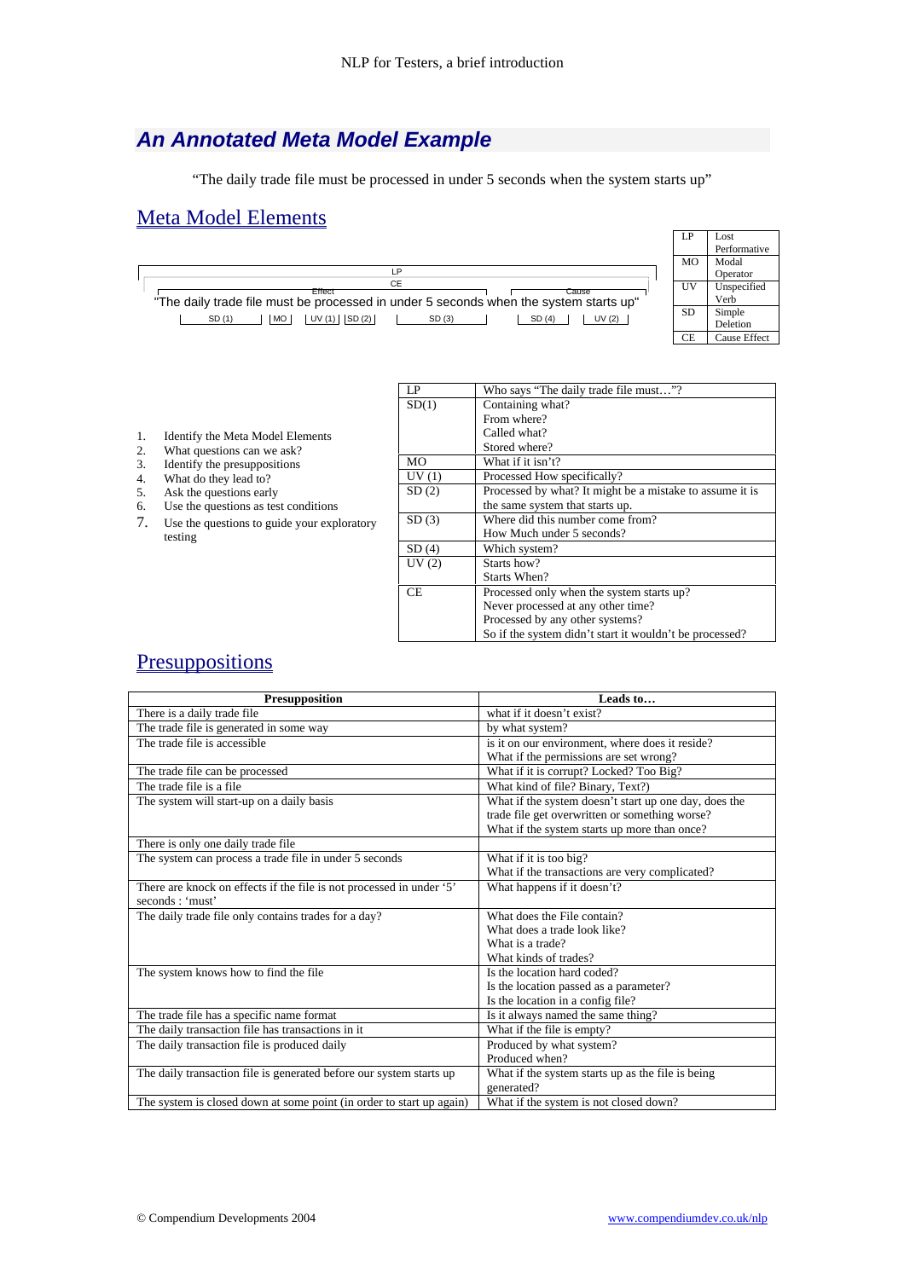## *An Annotated Meta Model Example*

"The daily trade file must be processed in under 5 seconds when the system starts up"

## Meta Model Elements



| Identify the Meta Model Elements |
|----------------------------------|
|----------------------------------|

- 2. What questions can we ask?<br>3. Identify the presuppositions
- 3. Identify the presuppositions<br>4. What do they lead to?
- What do they lead to?
- 5. Ask the questions early
- 6. Use the questions as test conditions
- 7. Use the questions to guide your exploratory testing

| LP    | Who says "The daily trade file must"?                    |
|-------|----------------------------------------------------------|
| SD(1) | Containing what?                                         |
|       | From where?                                              |
|       | Called what?                                             |
|       | Stored where?                                            |
| MO    | What if it isn't?                                        |
| UV(1) | Processed How specifically?                              |
| SD(2) | Processed by what? It might be a mistake to assume it is |
|       | the same system that starts up.                          |
| SD(3) | Where did this number come from?                         |
|       | How Much under 5 seconds?                                |
| SD(4) | Which system?                                            |
| UV(2) | Starts how?                                              |
|       | Starts When?                                             |
| CE.   | Processed only when the system starts up?                |
|       | Never processed at any other time?                       |
|       | Processed by any other systems?                          |
|       | So if the system didn't start it wouldn't be processed?  |

## **Presuppositions**

| Presupposition                                                       | Leads to                                              |
|----------------------------------------------------------------------|-------------------------------------------------------|
| There is a daily trade file                                          | what if it doesn't exist?                             |
| The trade file is generated in some way                              | by what system?                                       |
| The trade file is accessible                                         | is it on our environment, where does it reside?       |
|                                                                      | What if the permissions are set wrong?                |
| The trade file can be processed                                      | What if it is corrupt? Locked? Too Big?               |
| The trade file is a file                                             | What kind of file? Binary, Text?)                     |
| The system will start-up on a daily basis                            | What if the system doesn't start up one day, does the |
|                                                                      | trade file get overwritten or something worse?        |
|                                                                      | What if the system starts up more than once?          |
| There is only one daily trade file                                   |                                                       |
| The system can process a trade file in under 5 seconds               | What if it is too big?                                |
|                                                                      | What if the transactions are very complicated?        |
| There are knock on effects if the file is not processed in under '5' | What happens if it doesn't?                           |
| seconds: 'must'                                                      |                                                       |
| The daily trade file only contains trades for a day?                 | What does the File contain?                           |
|                                                                      | What does a trade look like?                          |
|                                                                      | What is a trade?                                      |
|                                                                      | What kinds of trades?                                 |
| The system knows how to find the file                                | Is the location hard coded?                           |
|                                                                      | Is the location passed as a parameter?                |
|                                                                      | Is the location in a config file?                     |
| The trade file has a specific name format                            | Is it always named the same thing?                    |
| The daily transaction file has transactions in it                    | What if the file is empty?                            |
| The daily transaction file is produced daily                         | Produced by what system?                              |
|                                                                      | Produced when?                                        |
| The daily transaction file is generated before our system starts up  | What if the system starts up as the file is being     |
|                                                                      | generated?                                            |
| The system is closed down at some point (in order to start up again) | What if the system is not closed down?                |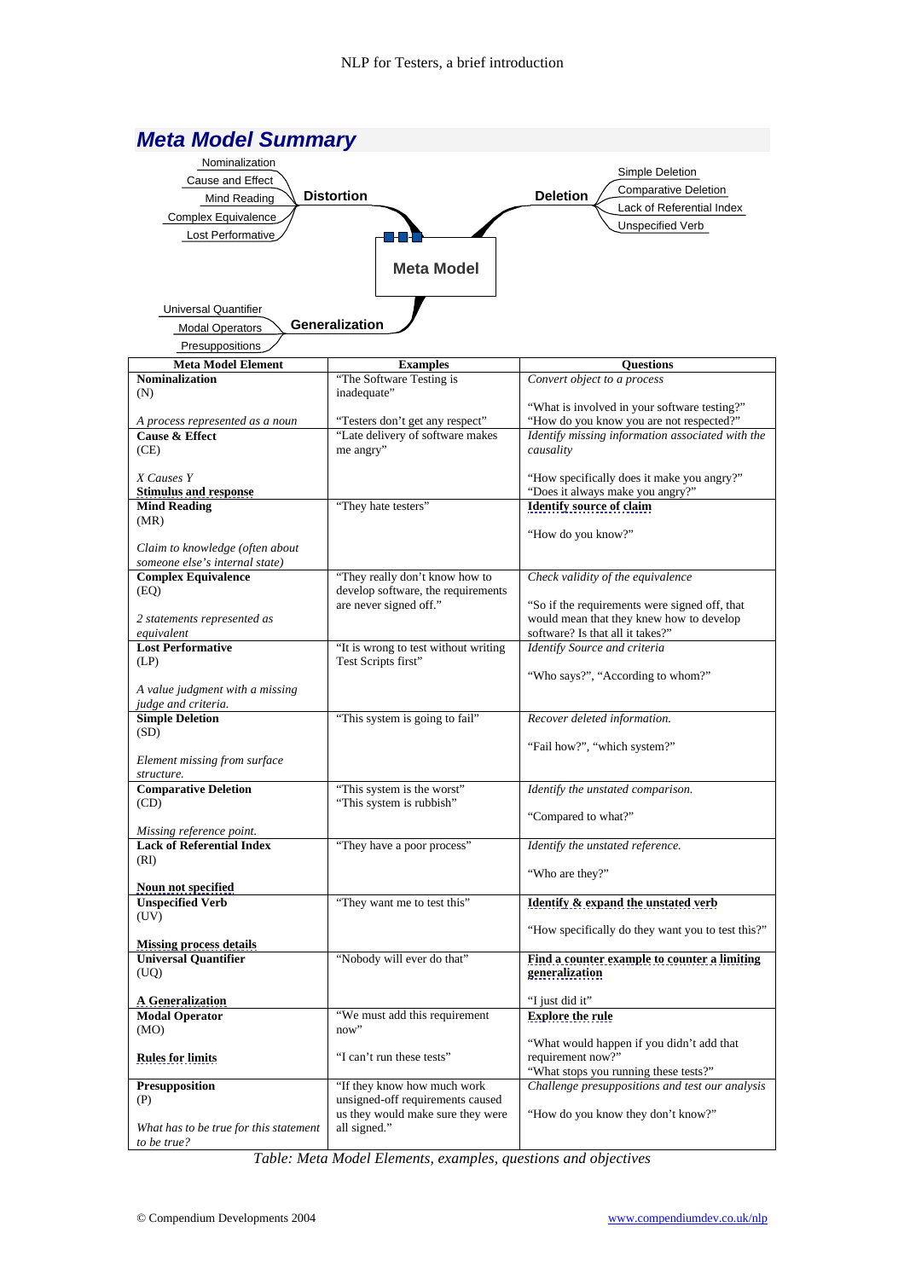| <b>Meta Model Summary</b>                                         |                                                                     |                                                                                              |  |  |  |
|-------------------------------------------------------------------|---------------------------------------------------------------------|----------------------------------------------------------------------------------------------|--|--|--|
| Nominalization                                                    |                                                                     |                                                                                              |  |  |  |
| Cause and Effect                                                  | Simple Deletion                                                     |                                                                                              |  |  |  |
| <b>Distortion</b><br>Mind Reading                                 | <b>Comparative Deletion</b><br><b>Deletion</b>                      |                                                                                              |  |  |  |
| Complex Equivalence                                               |                                                                     | Lack of Referential Index                                                                    |  |  |  |
| Lost Performative                                                 |                                                                     | Unspecified Verb                                                                             |  |  |  |
|                                                                   |                                                                     |                                                                                              |  |  |  |
|                                                                   | <b>Meta Model</b>                                                   |                                                                                              |  |  |  |
| <b>Universal Quantifier</b>                                       |                                                                     |                                                                                              |  |  |  |
| <b>Modal Operators</b>                                            | Generalization                                                      |                                                                                              |  |  |  |
| Presuppositions                                                   |                                                                     |                                                                                              |  |  |  |
| <b>Meta Model Element</b>                                         | <b>Examples</b>                                                     | <b>Ouestions</b>                                                                             |  |  |  |
| <b>Nominalization</b>                                             | "The Software Testing is                                            | Convert object to a process                                                                  |  |  |  |
| (N)                                                               | inadequate"                                                         |                                                                                              |  |  |  |
|                                                                   |                                                                     | "What is involved in your software testing?"                                                 |  |  |  |
| A process represented as a noun<br><b>Cause &amp; Effect</b>      | "Testers don't get any respect"<br>"Late delivery of software makes | "How do you know you are not respected?"<br>Identify missing information associated with the |  |  |  |
| (CE)                                                              | me angry"                                                           | causality                                                                                    |  |  |  |
|                                                                   |                                                                     |                                                                                              |  |  |  |
| X Causes Y                                                        |                                                                     | "How specifically does it make you angry?"                                                   |  |  |  |
| <b>Stimulus and response</b>                                      |                                                                     | "Does it always make you angry?"                                                             |  |  |  |
| <b>Mind Reading</b><br>(MR)                                       | "They hate testers"                                                 | <b>Identify source of claim</b>                                                              |  |  |  |
|                                                                   |                                                                     | "How do you know?"                                                                           |  |  |  |
| Claim to knowledge (often about<br>someone else's internal state) |                                                                     |                                                                                              |  |  |  |
| <b>Complex Equivalence</b>                                        | "They really don't know how to                                      | Check validity of the equivalence                                                            |  |  |  |
| (EQ)                                                              | develop software, the requirements                                  |                                                                                              |  |  |  |
|                                                                   | are never signed off."                                              | "So if the requirements were signed off, that                                                |  |  |  |
| 2 statements represented as                                       |                                                                     | would mean that they knew how to develop                                                     |  |  |  |
| equivalent<br><b>Lost Performative</b>                            | "It is wrong to test without writing                                | software? Is that all it takes?"<br>Identify Source and criteria                             |  |  |  |
| (LP)                                                              | Test Scripts first"                                                 |                                                                                              |  |  |  |
|                                                                   |                                                                     | "Who says?", "According to whom?"                                                            |  |  |  |
| A value judgment with a missing                                   |                                                                     |                                                                                              |  |  |  |
| judge and criteria.<br><b>Simple Deletion</b>                     | "This system is going to fail"                                      |                                                                                              |  |  |  |
| (SD)                                                              |                                                                     | Recover deleted information.                                                                 |  |  |  |
|                                                                   |                                                                     | "Fail how?", "which system?"                                                                 |  |  |  |
| Element missing from surface                                      |                                                                     |                                                                                              |  |  |  |
| structure.                                                        |                                                                     |                                                                                              |  |  |  |
| <b>Comparative Deletion</b>                                       | "This system is the worst"                                          | Identify the unstated comparison.                                                            |  |  |  |
| (CD)                                                              | "This system is rubbish"                                            | "Compared to what?"                                                                          |  |  |  |
| Missing reference point.                                          |                                                                     |                                                                                              |  |  |  |
| <b>Lack of Referential Index</b>                                  | "They have a poor process"                                          | Identify the unstated reference.                                                             |  |  |  |
| (RI)                                                              |                                                                     |                                                                                              |  |  |  |
|                                                                   |                                                                     | "Who are they?"                                                                              |  |  |  |
| Noun not specified<br><b>Unspecified Verb</b>                     | "They want me to test this"                                         | Identify & expand the unstated verb                                                          |  |  |  |
| (UV)                                                              |                                                                     |                                                                                              |  |  |  |
|                                                                   |                                                                     | "How specifically do they want you to test this?"                                            |  |  |  |
| <b>Missing process details</b>                                    |                                                                     |                                                                                              |  |  |  |
| <b>Universal Quantifier</b><br>(UQ)                               | "Nobody will ever do that"                                          | Find a counter example to counter a limiting<br>generalization                               |  |  |  |
| <b>A</b> Generalization                                           |                                                                     | "I just did it"                                                                              |  |  |  |
| <b>Modal Operator</b>                                             | "We must add this requirement                                       | <b>Explore the rule</b>                                                                      |  |  |  |
| (MO)                                                              | now"                                                                |                                                                                              |  |  |  |
|                                                                   |                                                                     | "What would happen if you didn't add that                                                    |  |  |  |
| <b>Rules for limits</b>                                           | "I can't run these tests"                                           | requirement now?"                                                                            |  |  |  |
|                                                                   |                                                                     | "What stops you running these tests?"                                                        |  |  |  |
| <b>Presupposition</b><br>(P)                                      | "If they know how much work<br>unsigned-off requirements caused     | Challenge presuppositions and test our analysis                                              |  |  |  |
|                                                                   | us they would make sure they were                                   | "How do you know they don't know?"                                                           |  |  |  |
| What has to be true for this statement                            | all signed."                                                        |                                                                                              |  |  |  |
| to be true?                                                       |                                                                     |                                                                                              |  |  |  |

*Table: Meta Model Elements, examples, questions and objectives*